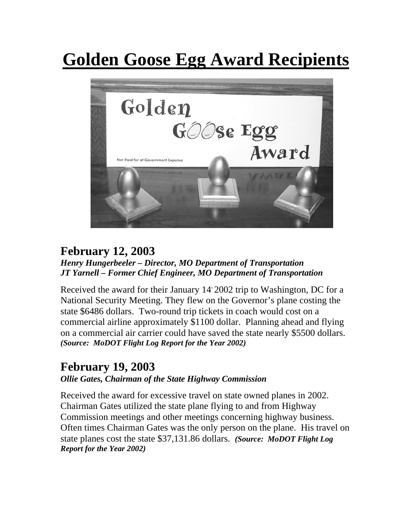# **Golden Goose Egg Award Recipients**



## **February 12, 2003**

#### *Henry Hungerbeeler – Director, MO Department of Transportation JT Yarnell – Former Chief Engineer, MO Department of Transportation*

Received the award for their January 14' 2002 trip to Washington, DC for a National Security Meeting. They flew on the Governor's plane costing the state \$6486 dollars. Two-round trip tickets in coach would cost on a commercial airline approximately \$1100 dollar. Planning ahead and flying on a commercial air carrier could have saved the state nearly \$5500 dollars. *(Source: MoDOT Flight Log Report for the Year 2002)* 

### **February 19, 2003**

#### *Ollie Gates, Chairman of the State Highway Commission*

Received the award for excessive travel on state owned planes in 2002. Chairman Gates utilized the state plane flying to and from Highway Commission meetings and other meetings concerning highway business. Often times Chairman Gates was the only person on the plane. His travel on state planes cost the state \$37,131.86 dollars. *(Source: MoDOT Flight Log Report for the Year 2002)*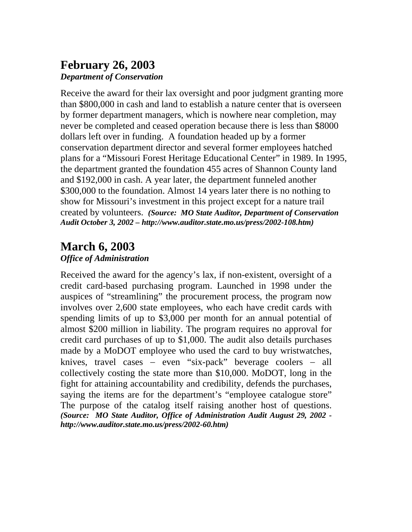#### **February 26, 2003** *Department of Conservation*

Receive the award for their lax oversight and poor judgment granting more than \$800,000 in cash and land to establish a nature center that is overseen by former department managers, which is nowhere near completion, may never be completed and ceased operation because there is less than \$8000 dollars left over in funding. A foundation headed up by a former conservation department director and several former employees hatched plans for a "Missouri Forest Heritage Educational Center" in 1989. In 1995, the department granted the foundation 455 acres of Shannon County land and \$192,000 in cash. A year later, the department funneled another \$300,000 to the foundation. Almost 14 years later there is no nothing to show for Missouri's investment in this project except for a nature trail created by volunteers. *(Source: MO State Auditor, Department of Conservation Audit October 3, 2002 – http://www.auditor.state.mo.us/press/2002-108.htm)* 

### **March 6, 2003**

#### *Office of Administration*

Received the award for the agency's lax, if non-existent, oversight of a credit card-based purchasing program. Launched in 1998 under the auspices of "streamlining" the procurement process, the program now involves over 2,600 state employees, who each have credit cards with spending limits of up to \$3,000 per month for an annual potential of almost \$200 million in liability. The program requires no approval for credit card purchases of up to \$1,000. The audit also details purchases made by a MoDOT employee who used the card to buy wristwatches, knives, travel cases − even "six-pack" beverage coolers − all collectively costing the state more than \$10,000. MoDOT, long in the fight for attaining accountability and credibility, defends the purchases, saying the items are for the department's "employee catalogue store" The purpose of the catalog itself raising another host of questions. *(Source: MO State Auditor, Office of Administration Audit August 29, 2002 http://www.auditor.state.mo.us/press/2002-60.htm)*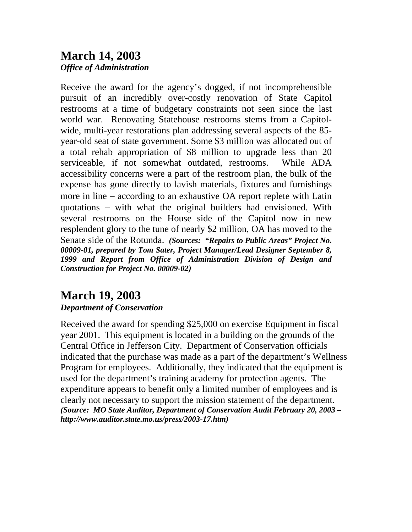## **March 14, 2003**

*Office of Administration* 

Receive the award for the agency's dogged, if not incomprehensible pursuit of an incredibly over-costly renovation of State Capitol restrooms at a time of budgetary constraints not seen since the last world war. Renovating Statehouse restrooms stems from a Capitolwide, multi-year restorations plan addressing several aspects of the 85 year-old seat of state government. Some \$3 million was allocated out of a total rehab appropriation of \$8 million to upgrade less than 20 serviceable, if not somewhat outdated, restrooms. While ADA accessibility concerns were a part of the restroom plan, the bulk of the expense has gone directly to lavish materials, fixtures and furnishings more in line − according to an exhaustive OA report replete with Latin quotations – with what the original builders had envisioned. With several restrooms on the House side of the Capitol now in new resplendent glory to the tune of nearly \$2 million, OA has moved to the Senate side of the Rotunda. *(Sources: "Repairs to Public Areas" Project No. 00009-01, prepared by Tom Sater, Project Manager/Lead Designer September 8, 1999 and Report from Office of Administration Division of Design and Construction for Project No. 00009-02)* 

## **March 19, 2003**

#### *Department of Conservation*

Received the award for spending \$25,000 on exercise Equipment in fiscal year 2001. This equipment is located in a building on the grounds of the Central Office in Jefferson City. Department of Conservation officials indicated that the purchase was made as a part of the department's Wellness Program for employees. Additionally, they indicated that the equipment is used for the department's training academy for protection agents. The expenditure appears to benefit only a limited number of employees and is clearly not necessary to support the mission statement of the department. *(Source: MO State Auditor, Department of Conservation Audit February 20, 2003 – http://www.auditor.state.mo.us/press/2003-17.htm)*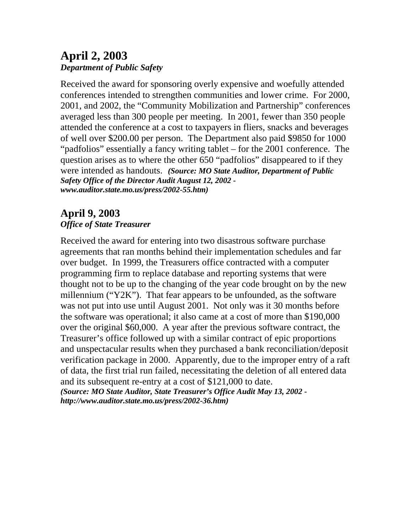#### **April 2, 2003**  *Department of Public Safety*

Received the award for sponsoring overly expensive and woefully attended conferences intended to strengthen communities and lower crime. For 2000, 2001, and 2002, the "Community Mobilization and Partnership" conferences averaged less than 300 people per meeting. In 2001, fewer than 350 people attended the conference at a cost to taxpayers in fliers, snacks and beverages of well over \$200.00 per person. The Department also paid \$9850 for 1000 "padfolios" essentially a fancy writing tablet – for the 2001 conference. The question arises as to where the other 650 "padfolios" disappeared to if they were intended as handouts. *(Source: MO State Auditor, Department of Public Safety Office of the Director Audit August 12, 2002 www.auditor.state.mo.us/press/2002-55.htm)* 

#### **April 9, 2003**  *Office of State Treasurer*

Received the award for entering into two disastrous software purchase agreements that ran months behind their implementation schedules and far over budget. In 1999, the Treasurers office contracted with a computer programming firm to replace database and reporting systems that were thought not to be up to the changing of the year code brought on by the new millennium ("Y2K"). That fear appears to be unfounded, as the software was not put into use until August 2001. Not only was it 30 months before the software was operational; it also came at a cost of more than \$190,000 over the original \$60,000. A year after the previous software contract, the Treasurer's office followed up with a similar contract of epic proportions and unspectacular results when they purchased a bank reconciliation/deposit verification package in 2000. Apparently, due to the improper entry of a raft of data, the first trial run failed, necessitating the deletion of all entered data and its subsequent re-entry at a cost of \$121,000 to date. *(Source: MO State Auditor, State Treasurer's Office Audit May 13, 2002 -* 

*http://www.auditor.state.mo.us/press/2002-36.htm)*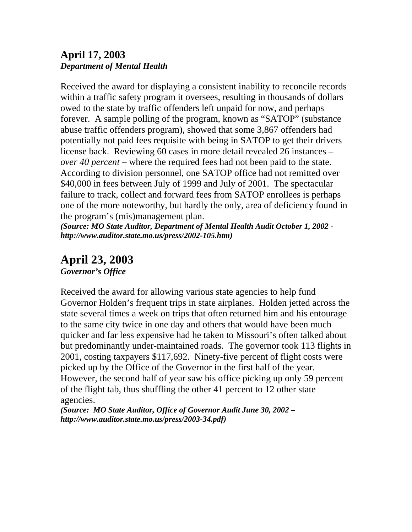#### **April 17, 2003**  *Department of Mental Health*

Received the award for displaying a consistent inability to reconcile records within a traffic safety program it oversees, resulting in thousands of dollars owed to the state by traffic offenders left unpaid for now, and perhaps forever. A sample polling of the program, known as "SATOP" (substance abuse traffic offenders program), showed that some 3,867 offenders had potentially not paid fees requisite with being in SATOP to get their drivers license back. Reviewing 60 cases in more detail revealed 26 instances – *over 40 percent –* where the required fees had not been paid to the state. According to division personnel, one SATOP office had not remitted over \$40,000 in fees between July of 1999 and July of 2001. The spectacular failure to track, collect and forward fees from SATOP enrollees is perhaps one of the more noteworthy, but hardly the only, area of deficiency found in the program's (mis)management plan.

*(Source: MO State Auditor, Department of Mental Health Audit October 1, 2002 http://www.auditor.state.mo.us/press/2002-105.htm)* 

## **April 23, 2003**

*Governor's Office* 

Received the award for allowing various state agencies to help fund Governor Holden's frequent trips in state airplanes. Holden jetted across the state several times a week on trips that often returned him and his entourage to the same city twice in one day and others that would have been much quicker and far less expensive had he taken to Missouri's often talked about but predominantly under-maintained roads. The governor took 113 flights in 2001, costing taxpayers \$117,692. Ninety-five percent of flight costs were picked up by the Office of the Governor in the first half of the year. However, the second half of year saw his office picking up only 59 percent of the flight tab, thus shuffling the other 41 percent to 12 other state agencies.

*(Source: MO State Auditor, Office of Governor Audit June 30, 2002 – http://www.auditor.state.mo.us/press/2003-34.pdf)*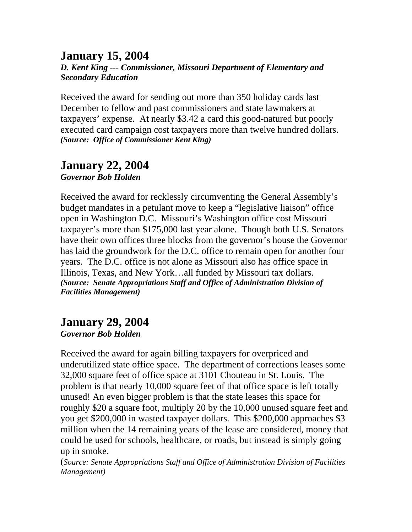#### **January 15, 2004**  *D. Kent King --- Commissioner, Missouri Department of Elementary and Secondary Education*

Received the award for sending out more than 350 holiday cards last December to fellow and past commissioners and state lawmakers at taxpayers' expense. At nearly \$3.42 a card this good-natured but poorly executed card campaign cost taxpayers more than twelve hundred dollars. *(Source: Office of Commissioner Kent King)* 

#### **January 22, 2004**  *Governor Bob Holden*

Received the award for recklessly circumventing the General Assembly's budget mandates in a petulant move to keep a "legislative liaison" office open in Washington D.C. Missouri's Washington office cost Missouri taxpayer's more than \$175,000 last year alone. Though both U.S. Senators have their own offices three blocks from the governor's house the Governor has laid the groundwork for the D.C. office to remain open for another four years. The D.C. office is not alone as Missouri also has office space in Illinois, Texas, and New York…all funded by Missouri tax dollars. *(Source: Senate Appropriations Staff and Office of Administration Division of Facilities Management)* 

#### **January 29, 2004** *Governor Bob Holden*

Received the award for again billing taxpayers for overpriced and underutilized state office space. The department of corrections leases some 32,000 square feet of office space at 3101 Chouteau in St. Louis. The problem is that nearly 10,000 square feet of that office space is left totally unused! An even bigger problem is that the state leases this space for roughly \$20 a square foot, multiply 20 by the 10,000 unused square feet and you get \$200,000 in wasted taxpayer dollars. This \$200,000 approaches \$3 million when the 14 remaining years of the lease are considered, money that could be used for schools, healthcare, or roads, but instead is simply going up in smoke.

(*Source: Senate Appropriations Staff and Office of Administration Division of Facilities Management)*